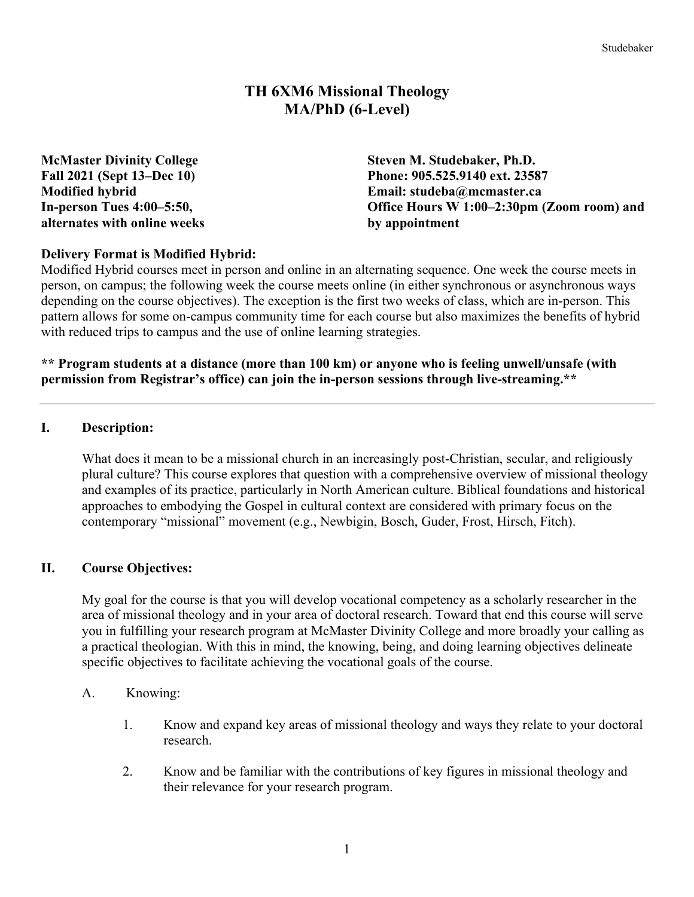# **TH 6XM6 Missional Theology MA/PhD (6-Level)**

**alternates with online weeks by appointment**

**McMaster Divinity College Steven M. Studebaker, Ph.D. Fall 2021 (Sept 13–Dec 10) Phone: 905.525.9140 ext. 23587 Modified hybrid Email: studeba@mcmaster.ca In-person Tues 4:00–5:50, Office Hours W 1:00–2:30pm (Zoom room) and** 

### **Delivery Format is Modified Hybrid:**

Modified Hybrid courses meet in person and online in an alternating sequence. One week the course meets in person, on campus; the following week the course meets online (in either synchronous or asynchronous ways depending on the course objectives). The exception is the first two weeks of class, which are in-person. This pattern allows for some on-campus community time for each course but also maximizes the benefits of hybrid with reduced trips to campus and the use of online learning strategies.

#### **\*\* Program students at a distance (more than 100 km) or anyone who is feeling unwell/unsafe (with permission from Registrar's office) can join the in-person sessions through live-streaming.\*\***

#### **I. Description:**

What does it mean to be a missional church in an increasingly post-Christian, secular, and religiously plural culture? This course explores that question with a comprehensive overview of missional theology and examples of its practice, particularly in North American culture. Biblical foundations and historical approaches to embodying the Gospel in cultural context are considered with primary focus on the contemporary "missional" movement (e.g., Newbigin, Bosch, Guder, Frost, Hirsch, Fitch).

#### **II. Course Objectives:**

My goal for the course is that you will develop vocational competency as a scholarly researcher in the area of missional theology and in your area of doctoral research. Toward that end this course will serve you in fulfilling your research program at McMaster Divinity College and more broadly your calling as a practical theologian. With this in mind, the knowing, being, and doing learning objectives delineate specific objectives to facilitate achieving the vocational goals of the course.

#### A. Knowing:

- 1. Know and expand key areas of missional theology and ways they relate to your doctoral research.
- 2. Know and be familiar with the contributions of key figures in missional theology and their relevance for your research program.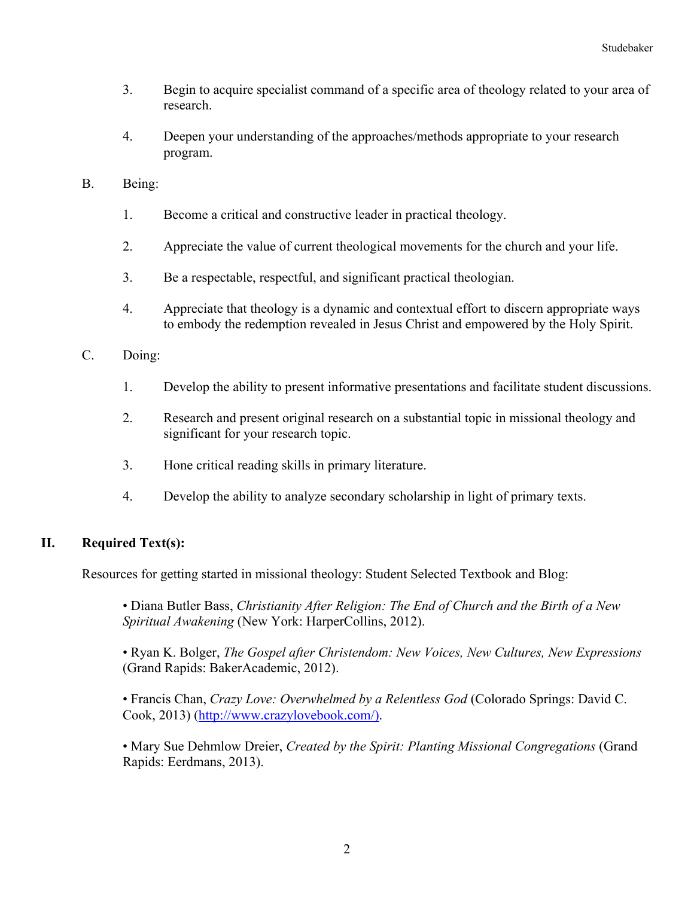Studebaker

- 3. Begin to acquire specialist command of a specific area of theology related to your area of research.
- 4. Deepen your understanding of the approaches/methods appropriate to your research program.
- B. Being:
	- 1. Become a critical and constructive leader in practical theology.
	- 2. Appreciate the value of current theological movements for the church and your life.
	- 3. Be a respectable, respectful, and significant practical theologian.
	- 4. Appreciate that theology is a dynamic and contextual effort to discern appropriate ways to embody the redemption revealed in Jesus Christ and empowered by the Holy Spirit.
- C. Doing:
	- 1. Develop the ability to present informative presentations and facilitate student discussions.
	- 2. Research and present original research on a substantial topic in missional theology and significant for your research topic.
	- 3. Hone critical reading skills in primary literature.
	- 4. Develop the ability to analyze secondary scholarship in light of primary texts.

### **II. Required Text(s):**

Resources for getting started in missional theology: Student Selected Textbook and Blog:

• Diana Butler Bass, *Christianity After Religion: The End of Church and the Birth of a New Spiritual Awakening* (New York: HarperCollins, 2012).

• Ryan K. Bolger, *The Gospel after Christendom: New Voices, New Cultures, New Expressions* (Grand Rapids: BakerAcademic, 2012).

• Francis Chan, *Crazy Love: Overwhelmed by a Relentless God* (Colorado Springs: David C. Cook, 2013) (http://www.crazylovebook.com/).

• Mary Sue Dehmlow Dreier, *Created by the Spirit: Planting Missional Congregations* (Grand Rapids: Eerdmans, 2013).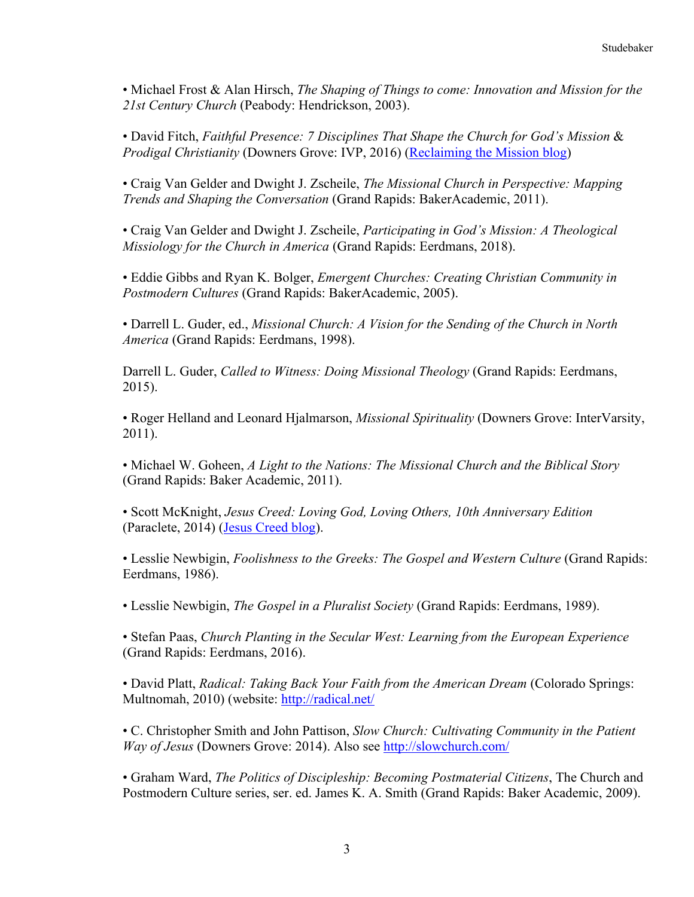• Michael Frost & Alan Hirsch, *The Shaping of Things to come: Innovation and Mission for the 21st Century Church* (Peabody: Hendrickson, 2003).

• David Fitch, *Faithful Presence: 7 Disciplines That Shape the Church for God's Mission* & *Prodigal Christianity* (Downers Grove: IVP, 2016) (Reclaiming the Mission blog)

• Craig Van Gelder and Dwight J. Zscheile, *The Missional Church in Perspective: Mapping Trends and Shaping the Conversation* (Grand Rapids: BakerAcademic, 2011).

• Craig Van Gelder and Dwight J. Zscheile, *Participating in God's Mission: A Theological Missiology for the Church in America* (Grand Rapids: Eerdmans, 2018).

• Eddie Gibbs and Ryan K. Bolger, *Emergent Churches: Creating Christian Community in Postmodern Cultures* (Grand Rapids: BakerAcademic, 2005).

• Darrell L. Guder, ed., *Missional Church: A Vision for the Sending of the Church in North America* (Grand Rapids: Eerdmans, 1998).

Darrell L. Guder, *Called to Witness: Doing Missional Theology* (Grand Rapids: Eerdmans, 2015).

• Roger Helland and Leonard Hjalmarson, *Missional Spirituality* (Downers Grove: InterVarsity, 2011).

• Michael W. Goheen, *A Light to the Nations: The Missional Church and the Biblical Story* (Grand Rapids: Baker Academic, 2011).

• Scott McKnight, *Jesus Creed: Loving God, Loving Others, 10th Anniversary Edition* (Paraclete, 2014) (Jesus Creed blog).

• Lesslie Newbigin, *Foolishness to the Greeks: The Gospel and Western Culture* (Grand Rapids: Eerdmans, 1986).

• Lesslie Newbigin, *The Gospel in a Pluralist Society* (Grand Rapids: Eerdmans, 1989).

• Stefan Paas, *Church Planting in the Secular West: Learning from the European Experience* (Grand Rapids: Eerdmans, 2016).

• David Platt, *Radical: Taking Back Your Faith from the American Dream* (Colorado Springs: Multnomah, 2010) (website: http://radical.net/

• C. Christopher Smith and John Pattison, *Slow Church: Cultivating Community in the Patient Way of Jesus* (Downers Grove: 2014). Also see http://slowchurch.com/

• Graham Ward, *The Politics of Discipleship: Becoming Postmaterial Citizens*, The Church and Postmodern Culture series, ser. ed. James K. A. Smith (Grand Rapids: Baker Academic, 2009).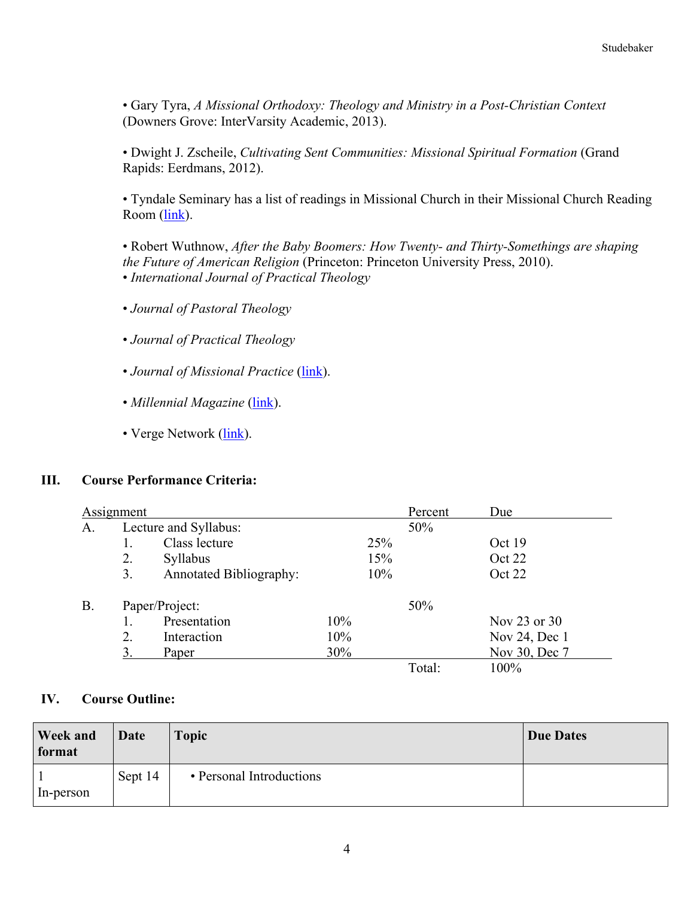• Gary Tyra, *A Missional Orthodoxy: Theology and Ministry in a Post-Christian Context* (Downers Grove: InterVarsity Academic, 2013).

• Dwight J. Zscheile, *Cultivating Sent Communities: Missional Spiritual Formation* (Grand Rapids: Eerdmans, 2012).

• Tyndale Seminary has a list of readings in Missional Church in their Missional Church Reading Room (link).

• Robert Wuthnow, *After the Baby Boomers: How Twenty- and Thirty-Somethings are shaping the Future of American Religion* (Princeton: Princeton University Press, 2010). • *International Journal of Practical Theology*

- *Journal of Pastoral Theology*
- *Journal of Practical Theology*
- *Journal of Missional Practice* (*link*).
- *Millennial Magazine* (*link*).
- Verge Network (link).

#### **III. Course Performance Criteria:**

| Assignment |                       |                         |     |     | Percent | Due           |
|------------|-----------------------|-------------------------|-----|-----|---------|---------------|
| A.         | Lecture and Syllabus: |                         |     |     | 50%     |               |
|            | 1.                    | Class lecture           |     | 25% |         | Oct 19        |
|            | 2.                    | Syllabus                |     | 15% |         | Oct 22        |
|            | 3.                    | Annotated Bibliography: |     | 10% |         | Oct 22        |
| <b>B.</b>  | Paper/Project:        |                         |     |     | 50%     |               |
|            |                       | Presentation            | 10% |     |         | Nov 23 or 30  |
|            | 2.                    | Interaction             | 10% |     |         | Nov 24, Dec 1 |
|            | 3.                    | Paper                   | 30% |     |         | Nov 30, Dec 7 |
|            |                       |                         |     |     | Total:  | 100%          |

### **IV. Course Outline:**

| <b>Week and</b><br>format | Date    | <b>Topic</b>             | <b>Due Dates</b> |
|---------------------------|---------|--------------------------|------------------|
| In-person                 | Sept 14 | • Personal Introductions |                  |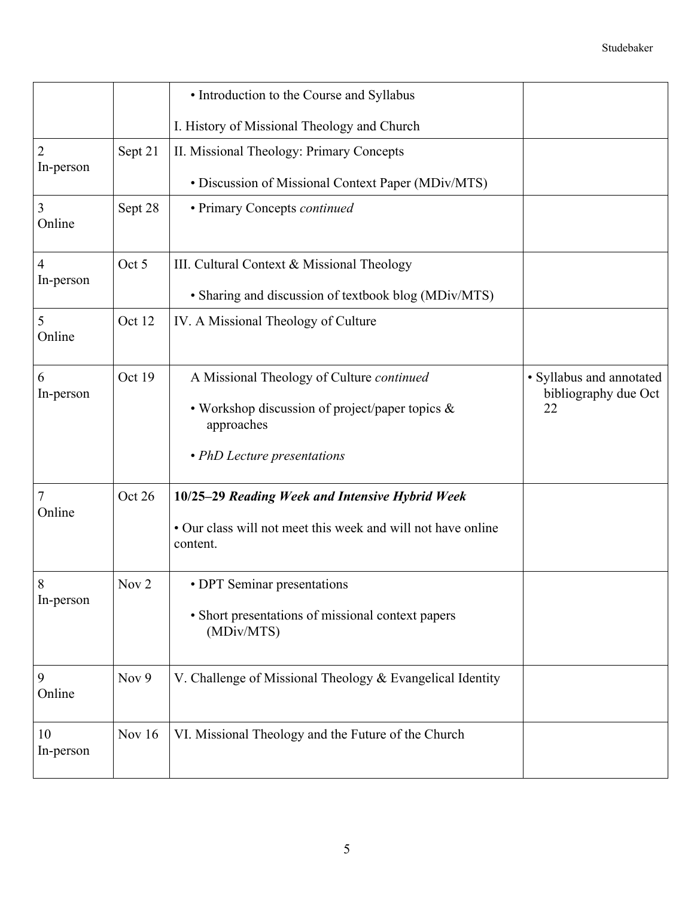|                             |                  | • Introduction to the Course and Syllabus                                |                                                  |
|-----------------------------|------------------|--------------------------------------------------------------------------|--------------------------------------------------|
|                             |                  | I. History of Missional Theology and Church                              |                                                  |
| $\overline{2}$<br>In-person | Sept 21          | II. Missional Theology: Primary Concepts                                 |                                                  |
|                             |                  | • Discussion of Missional Context Paper (MDiv/MTS)                       |                                                  |
| 3<br>Online                 | Sept 28          | • Primary Concepts continued                                             |                                                  |
| 4                           | Oct 5            | III. Cultural Context & Missional Theology                               |                                                  |
| In-person                   |                  | • Sharing and discussion of textbook blog (MDiv/MTS)                     |                                                  |
| 5<br>Online                 | Oct 12           | IV. A Missional Theology of Culture                                      |                                                  |
| 6<br>In-person              | Oct 19           | A Missional Theology of Culture continued                                | · Syllabus and annotated<br>bibliography due Oct |
|                             |                  | • Workshop discussion of project/paper topics &<br>approaches            | 22                                               |
|                             |                  | • PhD Lecture presentations                                              |                                                  |
| 7<br>Online                 | Oct 26           | 10/25-29 Reading Week and Intensive Hybrid Week                          |                                                  |
|                             |                  | • Our class will not meet this week and will not have online<br>content. |                                                  |
| 8                           | Nov <sub>2</sub> | • DPT Seminar presentations                                              |                                                  |
| In-person                   |                  | • Short presentations of missional context papers<br>(MDiv/MTS)          |                                                  |
| 9<br>Online                 | Nov 9            | V. Challenge of Missional Theology & Evangelical Identity                |                                                  |
| 10<br>In-person             | Nov $16$         | VI. Missional Theology and the Future of the Church                      |                                                  |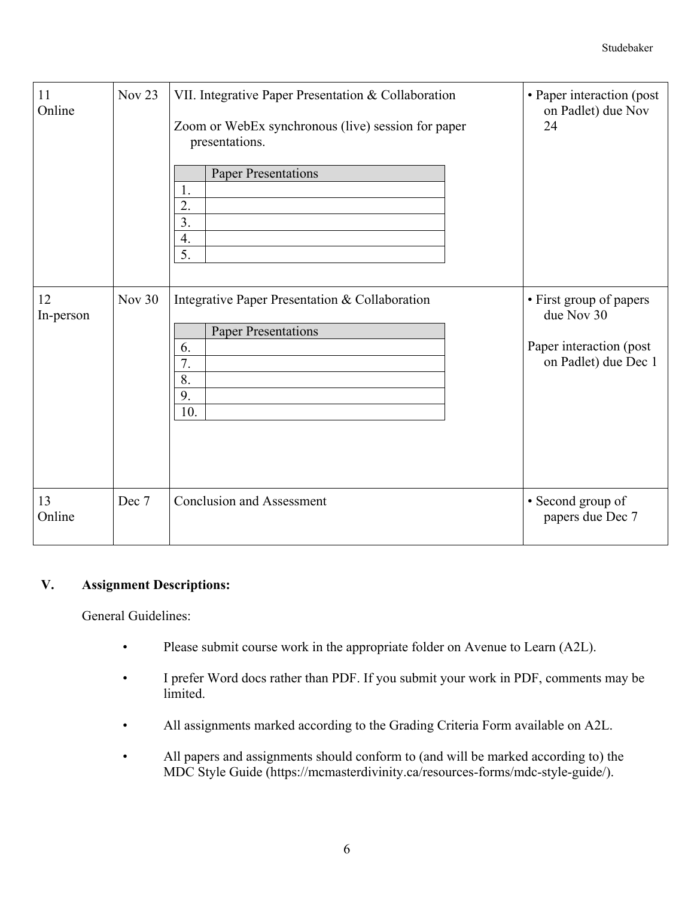| 11<br>Online    | Nov <sub>23</sub> | VII. Integrative Paper Presentation & Collaboration<br>Zoom or WebEx synchronous (live) session for paper<br>presentations.<br><b>Paper Presentations</b><br>1.<br>2.<br>3.<br>4.<br>$\overline{5}$ . | • Paper interaction (post<br>on Padlet) due Nov<br>24                                    |
|-----------------|-------------------|-------------------------------------------------------------------------------------------------------------------------------------------------------------------------------------------------------|------------------------------------------------------------------------------------------|
| 12<br>In-person | Nov 30            | Integrative Paper Presentation & Collaboration<br><b>Paper Presentations</b><br>6.<br>7.<br>8.<br>9.<br>10.                                                                                           | • First group of papers<br>due Nov 30<br>Paper interaction (post<br>on Padlet) due Dec 1 |
| 13<br>Online    | Dec 7             | <b>Conclusion and Assessment</b>                                                                                                                                                                      | • Second group of<br>papers due Dec 7                                                    |

## **V. Assignment Descriptions:**

General Guidelines:

- Please submit course work in the appropriate folder on Avenue to Learn (A2L).
- I prefer Word docs rather than PDF. If you submit your work in PDF, comments may be limited.
- All assignments marked according to the Grading Criteria Form available on A2L.
- All papers and assignments should conform to (and will be marked according to) the MDC Style Guide (https://mcmasterdivinity.ca/resources-forms/mdc-style-guide/).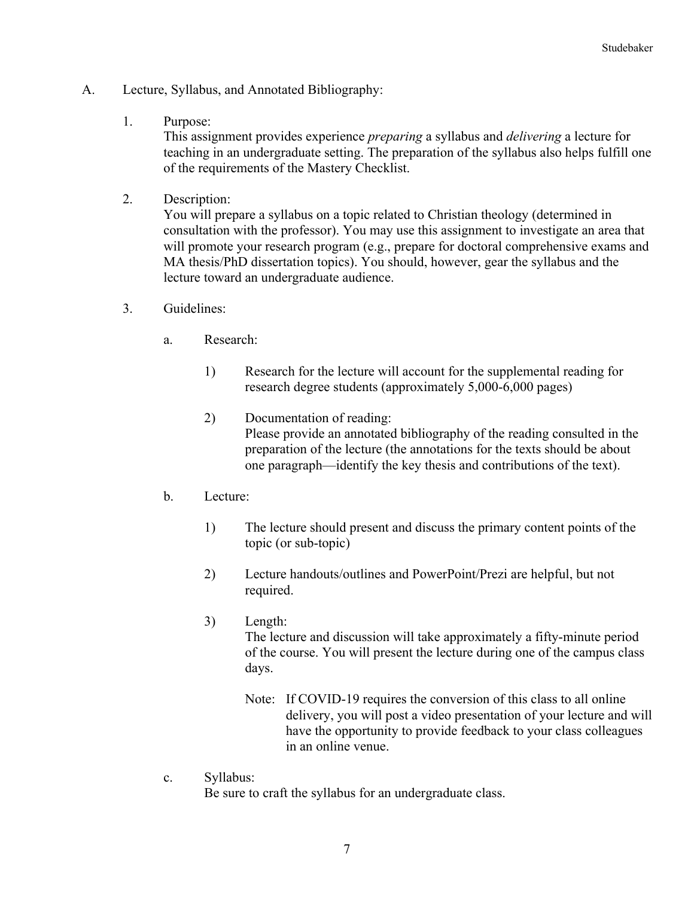- A. Lecture, Syllabus, and Annotated Bibliography:
	- 1. Purpose:

This assignment provides experience *preparing* a syllabus and *delivering* a lecture for teaching in an undergraduate setting. The preparation of the syllabus also helps fulfill one of the requirements of the Mastery Checklist.

2. Description:

You will prepare a syllabus on a topic related to Christian theology (determined in consultation with the professor). You may use this assignment to investigate an area that will promote your research program (e.g., prepare for doctoral comprehensive exams and MA thesis/PhD dissertation topics). You should, however, gear the syllabus and the lecture toward an undergraduate audience.

- 3. Guidelines:
	- a. Research:
		- 1) Research for the lecture will account for the supplemental reading for research degree students (approximately 5,000-6,000 pages)
		- 2) Documentation of reading: Please provide an annotated bibliography of the reading consulted in the preparation of the lecture (the annotations for the texts should be about one paragraph—identify the key thesis and contributions of the text).
	- b. Lecture:
		- 1) The lecture should present and discuss the primary content points of the topic (or sub-topic)
		- 2) Lecture handouts/outlines and PowerPoint/Prezi are helpful, but not required.
		- 3) Length: The lecture and discussion will take approximately a fifty-minute period of the course. You will present the lecture during one of the campus class days.
			- Note: If COVID-19 requires the conversion of this class to all online delivery, you will post a video presentation of your lecture and will have the opportunity to provide feedback to your class colleagues in an online venue.
	- c. Syllabus:

Be sure to craft the syllabus for an undergraduate class.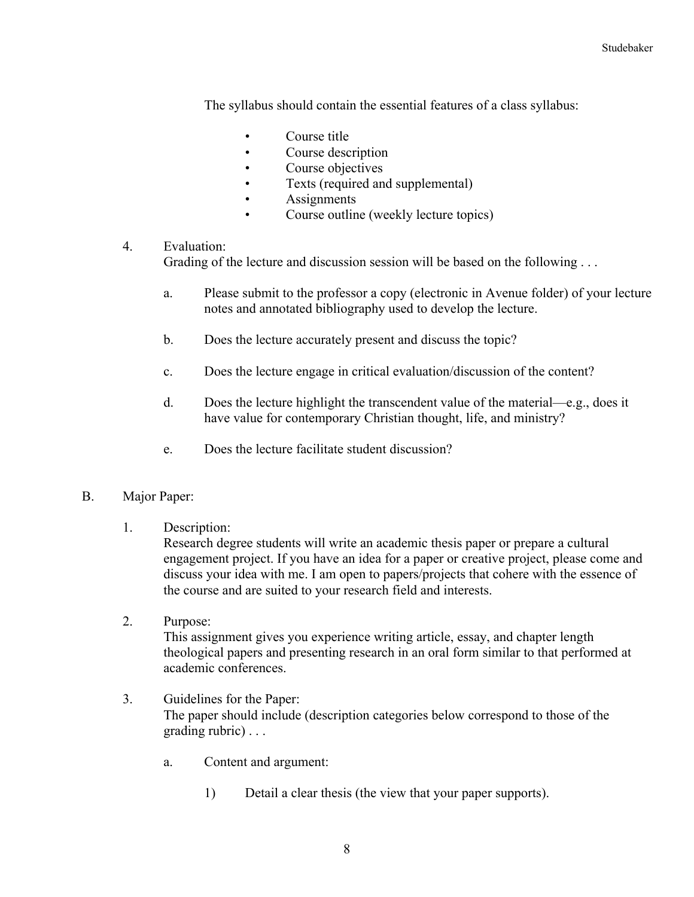The syllabus should contain the essential features of a class syllabus:

- Course title
- Course description
- Course objectives
- Texts (required and supplemental)
- Assignments
- Course outline (weekly lecture topics)

#### 4. Evaluation:

Grading of the lecture and discussion session will be based on the following ...

- a. Please submit to the professor a copy (electronic in Avenue folder) of your lecture notes and annotated bibliography used to develop the lecture.
- b. Does the lecture accurately present and discuss the topic?
- c. Does the lecture engage in critical evaluation/discussion of the content?
- d. Does the lecture highlight the transcendent value of the material—e.g., does it have value for contemporary Christian thought, life, and ministry?
- e. Does the lecture facilitate student discussion?

#### B. Major Paper:

1. Description:

Research degree students will write an academic thesis paper or prepare a cultural engagement project. If you have an idea for a paper or creative project, please come and discuss your idea with me. I am open to papers/projects that cohere with the essence of the course and are suited to your research field and interests.

- 2. Purpose: This assignment gives you experience writing article, essay, and chapter length theological papers and presenting research in an oral form similar to that performed at academic conferences.
- 3. Guidelines for the Paper: The paper should include (description categories below correspond to those of the grading rubric) . . .
	- a. Content and argument:
		- 1) Detail a clear thesis (the view that your paper supports).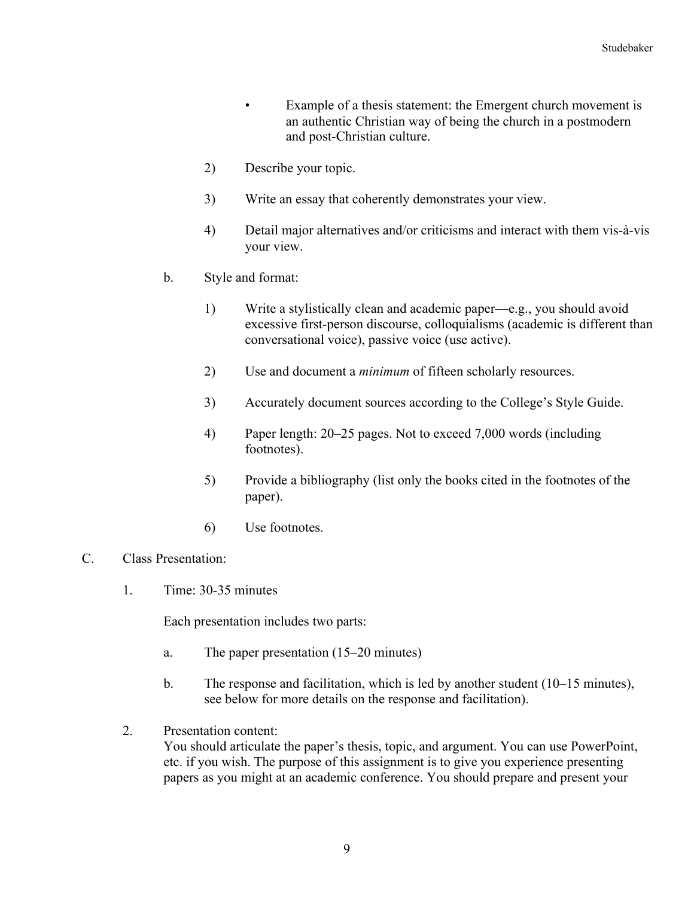- Example of a thesis statement: the Emergent church movement is an authentic Christian way of being the church in a postmodern and post-Christian culture.
- 2) Describe your topic.
- 3) Write an essay that coherently demonstrates your view.
- 4) Detail major alternatives and/or criticisms and interact with them vis-à-vis your view.
- b. Style and format:
	- 1) Write a stylistically clean and academic paper—e.g., you should avoid excessive first-person discourse, colloquialisms (academic is different than conversational voice), passive voice (use active).
	- 2) Use and document a *minimum* of fifteen scholarly resources.
	- 3) Accurately document sources according to the College's Style Guide.
	- 4) Paper length: 20–25 pages. Not to exceed 7,000 words (including footnotes).
	- 5) Provide a bibliography (list only the books cited in the footnotes of the paper).
	- 6) Use footnotes.
- C. Class Presentation:
	- 1. Time: 30-35 minutes

Each presentation includes two parts:

- a. The paper presentation (15–20 minutes)
- b. The response and facilitation, which is led by another student (10–15 minutes), see below for more details on the response and facilitation).
- 2. Presentation content:

You should articulate the paper's thesis, topic, and argument. You can use PowerPoint, etc. if you wish. The purpose of this assignment is to give you experience presenting papers as you might at an academic conference. You should prepare and present your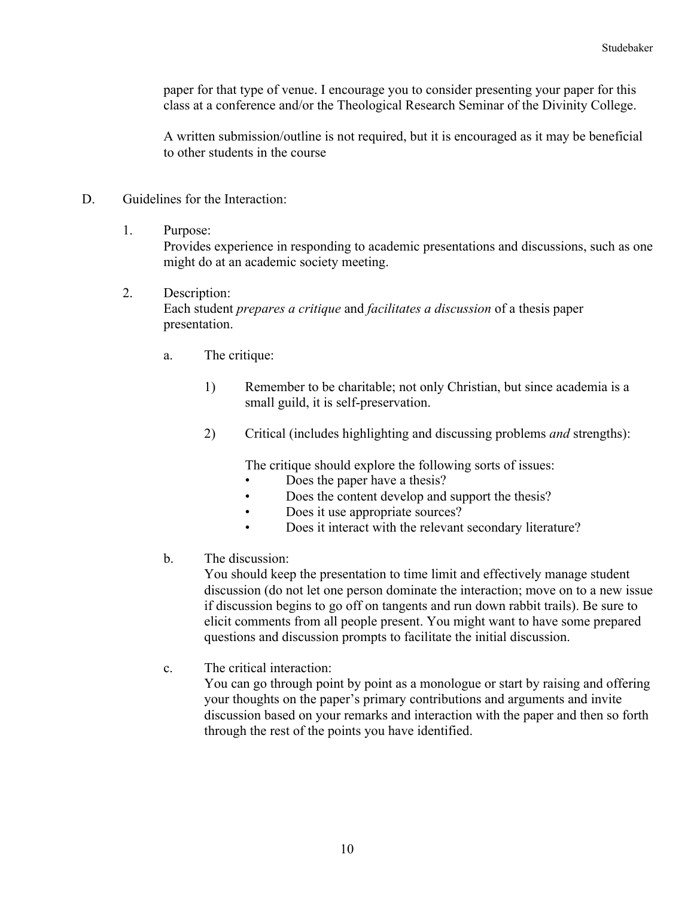paper for that type of venue. I encourage you to consider presenting your paper for this class at a conference and/or the Theological Research Seminar of the Divinity College.

A written submission/outline is not required, but it is encouraged as it may be beneficial to other students in the course

- D. Guidelines for the Interaction:
	- 1. Purpose:

Provides experience in responding to academic presentations and discussions, such as one might do at an academic society meeting.

- 2. Description: Each student *prepares a critique* and *facilitates a discussion* of a thesis paper presentation.
	- a. The critique:
		- 1) Remember to be charitable; not only Christian, but since academia is a small guild, it is self-preservation.
		- 2) Critical (includes highlighting and discussing problems *and* strengths):

The critique should explore the following sorts of issues:

- Does the paper have a thesis?
- Does the content develop and support the thesis?
- Does it use appropriate sources?
- Does it interact with the relevant secondary literature?
- b. The discussion:

You should keep the presentation to time limit and effectively manage student discussion (do not let one person dominate the interaction; move on to a new issue if discussion begins to go off on tangents and run down rabbit trails). Be sure to elicit comments from all people present. You might want to have some prepared questions and discussion prompts to facilitate the initial discussion.

c. The critical interaction:

You can go through point by point as a monologue or start by raising and offering your thoughts on the paper's primary contributions and arguments and invite discussion based on your remarks and interaction with the paper and then so forth through the rest of the points you have identified.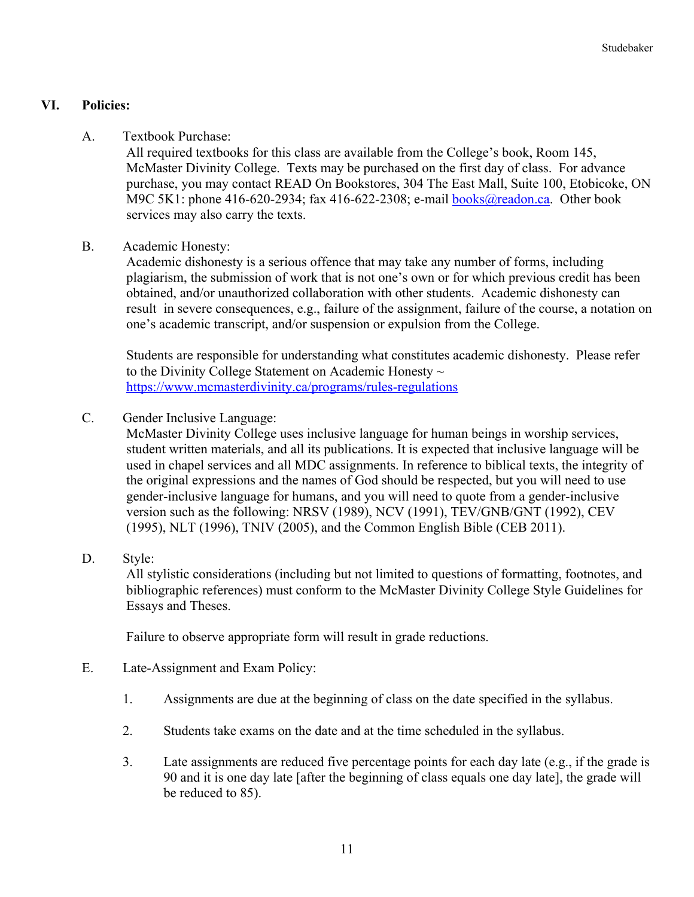### **VI. Policies:**

A. Textbook Purchase:

All required textbooks for this class are available from the College's book, Room 145, McMaster Divinity College. Texts may be purchased on the first day of class. For advance purchase, you may contact READ On Bookstores, 304 The East Mall, Suite 100, Etobicoke, ON M9C 5K1: phone 416-620-2934; fax 416-622-2308; e-mail **books@readon.ca.** Other book services may also carry the texts.

B. Academic Honesty:

Academic dishonesty is a serious offence that may take any number of forms, including plagiarism, the submission of work that is not one's own or for which previous credit has been obtained, and/or unauthorized collaboration with other students. Academic dishonesty can result in severe consequences, e.g., failure of the assignment, failure of the course, a notation on one's academic transcript, and/or suspension or expulsion from the College.

Students are responsible for understanding what constitutes academic dishonesty. Please refer to the Divinity College Statement on Academic Honesty  $\sim$ https://www.mcmasterdivinity.ca/programs/rules-regulations

C. Gender Inclusive Language:

McMaster Divinity College uses inclusive language for human beings in worship services, student written materials, and all its publications. It is expected that inclusive language will be used in chapel services and all MDC assignments. In reference to biblical texts, the integrity of the original expressions and the names of God should be respected, but you will need to use gender-inclusive language for humans, and you will need to quote from a gender-inclusive version such as the following: NRSV (1989), NCV (1991), TEV/GNB/GNT (1992), CEV (1995), NLT (1996), TNIV (2005), and the Common English Bible (CEB 2011).

D. Style:

All stylistic considerations (including but not limited to questions of formatting, footnotes, and bibliographic references) must conform to the McMaster Divinity College Style Guidelines for Essays and Theses.

Failure to observe appropriate form will result in grade reductions.

- E. Late-Assignment and Exam Policy:
	- 1. Assignments are due at the beginning of class on the date specified in the syllabus.
	- 2. Students take exams on the date and at the time scheduled in the syllabus.
	- 3. Late assignments are reduced five percentage points for each day late (e.g., if the grade is 90 and it is one day late [after the beginning of class equals one day late], the grade will be reduced to 85).